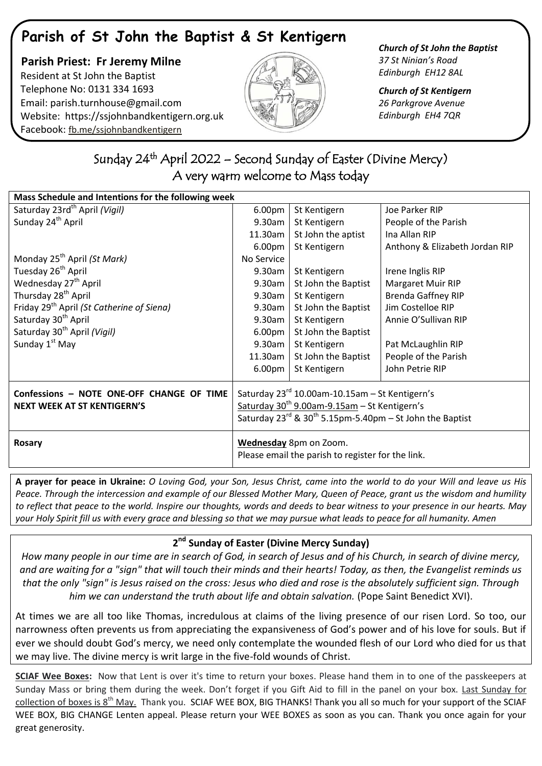# **Parish of St John the Baptist & St Kentigern**

 **Parish Priest: Fr Jeremy Milne** Resident at St John the Baptist Telephone No: 0131 334 1693 Email: [parish.turnhouse@gmail.com](mailto:parish.turnhouse@gmail.com)  Website: [https://ssjohnbandkentigern.org.uk](https://ssjohnbandkentigern.org.uk/) Facebook: [fb.me/ssjohnbandkentigern](https://fb.me/ssjohnbandkentigern)



*Church of St John the Baptist 37 St Ninian's Road Edinburgh EH12 8AL*

*Church of St Kentigern 26 Parkgrove Avenue Edinburgh EH4 7QR*

## ٦ Sunday 24<sup>th</sup> April 2022 – Second Sunday of Easter (Divine Mercy) A very warm welcome to Mass today

| Mass Schedule and Intentions for the following week   |                                                                    |                     |                                |
|-------------------------------------------------------|--------------------------------------------------------------------|---------------------|--------------------------------|
| Saturday 23rd <sup>th</sup> April (Vigil)             | 6.00pm                                                             | St Kentigern        | Joe Parker RIP                 |
| Sunday 24 <sup>th</sup> April                         | 9.30am                                                             | St Kentigern        | People of the Parish           |
|                                                       | 11.30am                                                            | St John the aptist  | Ina Allan RIP                  |
|                                                       | 6.00 <sub>pm</sub>                                                 | St Kentigern        | Anthony & Elizabeth Jordan RIP |
| Monday 25 <sup>th</sup> April (St Mark)               | No Service                                                         |                     |                                |
| Tuesday 26 <sup>th</sup> April                        | 9.30am                                                             | St Kentigern        | Irene Inglis RIP               |
| Wednesday 27 <sup>th</sup> April                      | 9.30am                                                             | St John the Baptist | <b>Margaret Muir RIP</b>       |
| Thursday 28 <sup>th</sup> April                       | 9.30am                                                             | St Kentigern        | <b>Brenda Gaffney RIP</b>      |
| Friday 29 <sup>th</sup> April (St Catherine of Siena) | 9.30am                                                             | St John the Baptist | Jim Costelloe RIP              |
| Saturday 30 <sup>th</sup> April                       | 9.30am                                                             | St Kentigern        | Annie O'Sullivan RIP           |
| Saturday 30 <sup>th</sup> April (Vigil)               | 6.00pm                                                             | St John the Baptist |                                |
| Sunday 1 <sup>st</sup> May                            | 9.30am                                                             | St Kentigern        | Pat McLaughlin RIP             |
|                                                       | 11.30am                                                            | St John the Baptist | People of the Parish           |
|                                                       | 6.00 <sub>pm</sub>                                                 | St Kentigern        | John Petrie RIP                |
| Confessions - NOTE ONE-OFF CHANGE OF TIME             | Saturday $23^{rd}$ 10.00am-10.15am - St Kentigern's                |                     |                                |
| <b>NEXT WEEK AT ST KENTIGERN'S</b>                    | Saturday 30 <sup>th</sup> 9.00am-9.15am - St Kentigern's           |                     |                                |
|                                                       | Saturday $23^{rd}$ & $30^{th}$ 5.15pm-5.40pm – St John the Baptist |                     |                                |
|                                                       |                                                                    |                     |                                |
| Rosary                                                | Wednesday 8pm on Zoom.                                             |                     |                                |
|                                                       | Please email the parish to register for the link.                  |                     |                                |

**A prayer for peace in Ukraine:** *O Loving God, your Son, Jesus Christ, came into the world to do your Will and leave us His Peace. Through the intercession and example of our Blessed Mother Mary, Queen of Peace, grant us the wisdom and humility to reflect that peace to the world. Inspire our thoughts, words and deeds to bear witness to your presence in our hearts. May your Holy Spirit fill us with every grace and blessing so that we may pursue what leads to peace for all humanity. Amen*

## **2 nd Sunday of Easter (Divine Mercy Sunday)**

*How many people in our time are in search of God, in search of Jesus and of his Church, in search of divine mercy, and are waiting for a "sign" that will touch their minds and their hearts! Today, as then, the Evangelist reminds us that the only "sign" is Jesus raised on the cross: Jesus who died and rose is the absolutely sufficient sign. Through him we can understand the truth about life and obtain salvation.* (Pope Saint Benedict XVI).

At times we are all too like Thomas, incredulous at claims of the living presence of our risen Lord. So too, our narrowness often prevents us from appreciating the expansiveness of God's power and of his love for souls. But if ever we should doubt God's mercy, we need only contemplate the wounded flesh of our Lord who died for us that we may live. The divine mercy is writ large in the five-fold wounds of Christ.

**SCIAF Wee Boxes:** Now that Lent is over it's time to return your boxes. Please hand them in to one of the passkeepers at Sunday Mass or bring them during the week. Don't forget if you Gift Aid to fill in the panel on your box. Last Sunday for collection of boxes is 8<sup>th</sup> May. Thank you. SCIAF WEE BOX, BIG THANKS! Thank you all so much for your support of the SCIAF WEE BOX, BIG CHANGE Lenten appeal. Please return your WEE BOXES as soon as you can. Thank you once again for your great generosity.